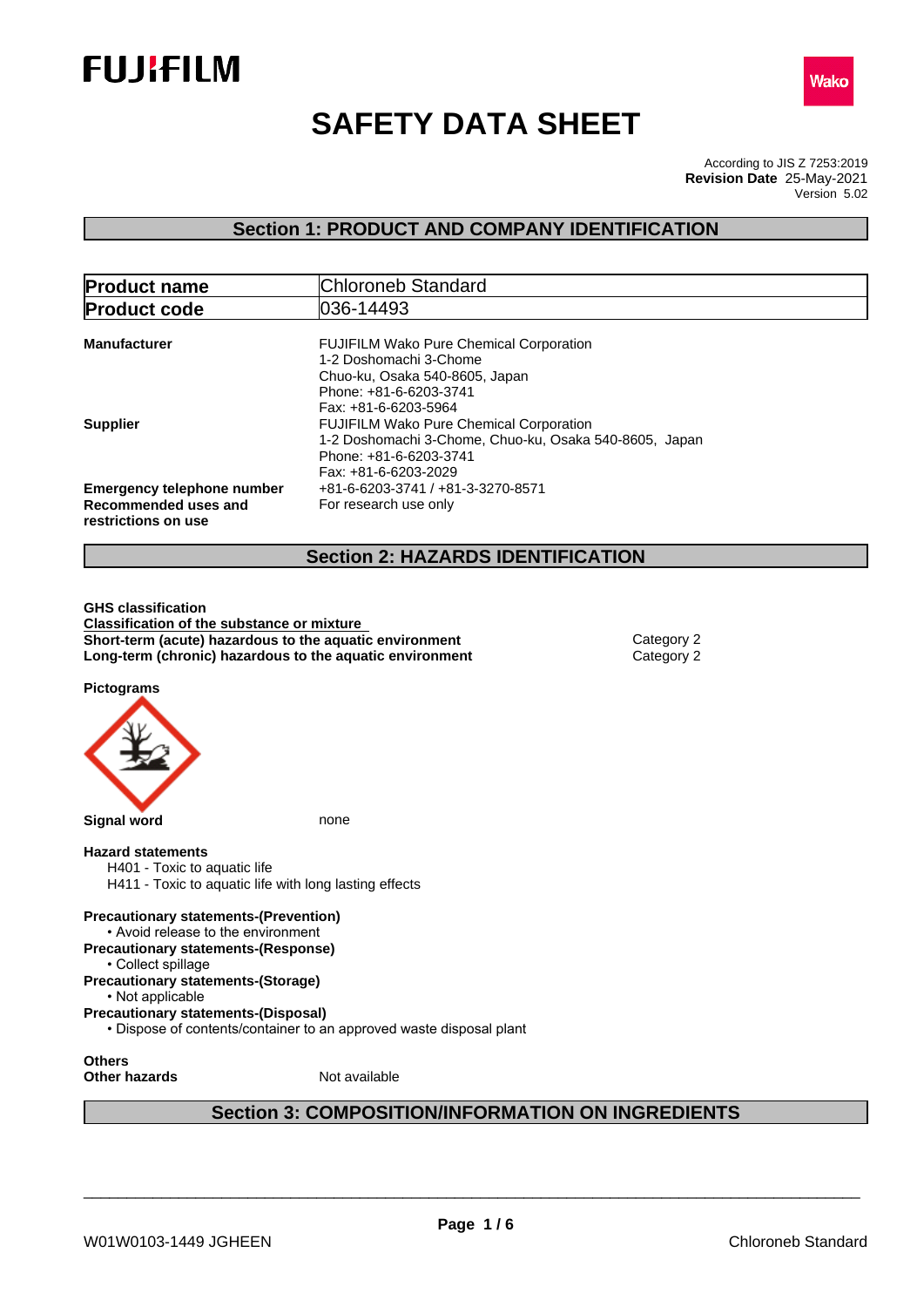



# **SAFETY DATA SHEET**

According to JIS Z 7253:2019 Version 5.02 **Revision Date** 25-May-2021

## **Section 1: PRODUCT AND COMPANY IDENTIFICATION**

| <b>Product name</b>                         | Chloroneb Standard                                                                                                                                           |
|---------------------------------------------|--------------------------------------------------------------------------------------------------------------------------------------------------------------|
| <b>Product code</b>                         | 1036-14493                                                                                                                                                   |
| <b>Manufacturer</b>                         | <b>FUJIFILM Wako Pure Chemical Corporation</b><br>1-2 Doshomachi 3-Chome<br>Chuo-ku, Osaka 540-8605, Japan<br>Phone: +81-6-6203-3741<br>Fax: +81-6-6203-5964 |
| <b>Supplier</b>                             | <b>FUJIFILM Wako Pure Chemical Corporation</b><br>1-2 Doshomachi 3-Chome, Chuo-ku, Osaka 540-8605, Japan<br>Phone: +81-6-6203-3741<br>Fax: +81-6-6203-2029   |
| <b>Emergency telephone number</b>           | +81-6-6203-3741 / +81-3-3270-8571                                                                                                                            |
| Recommended uses and<br>restrictions on use | For research use only                                                                                                                                        |
|                                             | <b>Section 2: HAZARDS IDENTIFICATION</b>                                                                                                                     |

**GHS classification Classification of the substance or mixture Short-term (acute) hazardous to the aquatic environment** Category 2 **Long-term (chronic) hazardous to the aquatic environment** Category 2

**Pictograms**



## **Section 3: COMPOSITION/INFORMATION ON INGREDIENTS**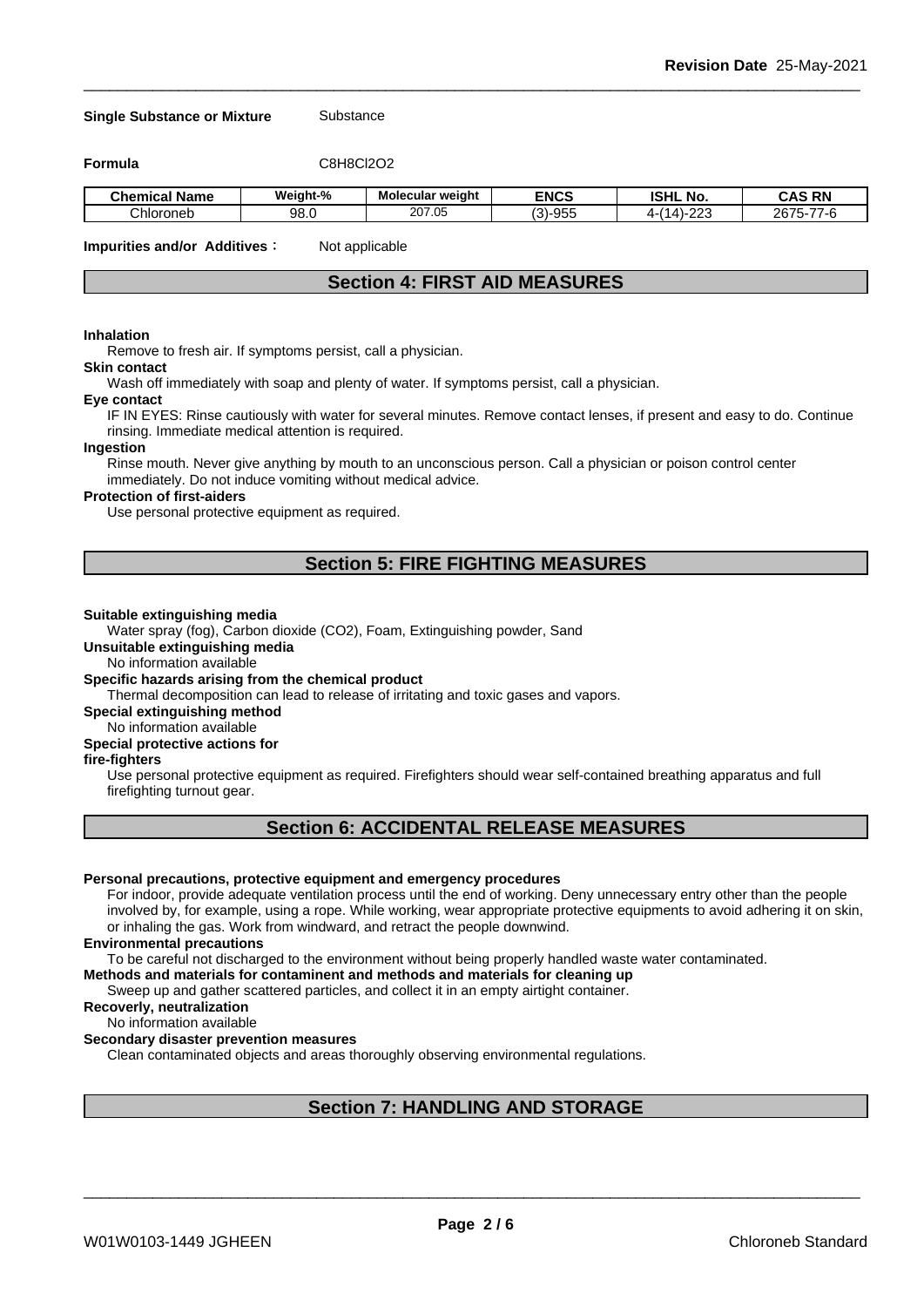### **Single Substance or Mixture** Substance

**Formula** C8H8Cl2O2

| Chemical<br>Name | Weight-% | Molecular weight | <b>ENCS</b>                       | <b>ISHL</b><br>.No.                   | <b>RN</b><br>$\ddot{\phantom{1}}$<br>ົ∧⊹<br>une |
|------------------|----------|------------------|-----------------------------------|---------------------------------------|-------------------------------------------------|
| Chloroneb        | 98.C     | 207.05           | $\sqrt{2}$<br>0.1205<br>ີ<br>้อบเ | $\sim$ $\sim$<br>ıД<br>$\overline{ }$ | $- -$<br>0075<br>267<br>∽-<br>-r                |

**Impurities and/or Additives**: Not applicable

## **Section 4: FIRST AID MEASURES**

### **Inhalation**

Remove to fresh air. If symptoms persist, call a physician.

## **Skin contact**

Wash off immediately with soap and plenty of water. If symptoms persist, calla physician.

#### **Eye contact**

IF IN EYES: Rinse cautiously with water for several minutes. Remove contact lenses, if present and easy to do. Continue rinsing. Immediate medical attention is required.

#### **Ingestion**

Rinse mouth. Never give anything by mouth to an unconscious person. Call a physician or poison control center immediately. Do not induce vomiting without medical advice.

## **Protection of first-aiders**

Use personal protective equipment as required.

## **Section 5: FIRE FIGHTING MEASURES**

#### **Suitable extinguishing media**

Water spray (fog), Carbon dioxide (CO2), Foam, Extinguishing powder, Sand

**Unsuitable extinguishing media**

No information available

## **Specific hazards arising from the chemical product**

Thermal decomposition can lead to release of irritating and toxic gases and vapors.

**Special extinguishing method**

#### No information available

## **Special protective actions for**

## **fire-fighters**

Use personal protective equipment as required.Firefighters should wear self-contained breathing apparatus and full firefighting turnout gear.

## **Section 6: ACCIDENTAL RELEASE MEASURES**

#### **Personal precautions, protective equipment and emergency procedures**

For indoor, provide adequate ventilation process until the end of working. Deny unnecessary entry other than the people involved by, for example, using a rope. While working, wear appropriate protective equipments to avoid adhering it on skin, or inhaling the gas. Work from windward, and retract the people downwind.

#### **Environmental precautions**

To be careful not discharged to the environment without being properly handled waste water contaminated.

#### **Methods and materials for contaminent and methods and materials for cleaning up**

Sweep up and gather scattered particles, and collect it in an empty airtight container.

## **Recoverly, neutralization**

#### No information available

#### **Secondary disaster prevention measures**

Clean contaminated objects and areas thoroughly observing environmental regulations.

## **Section 7: HANDLING AND STORAGE**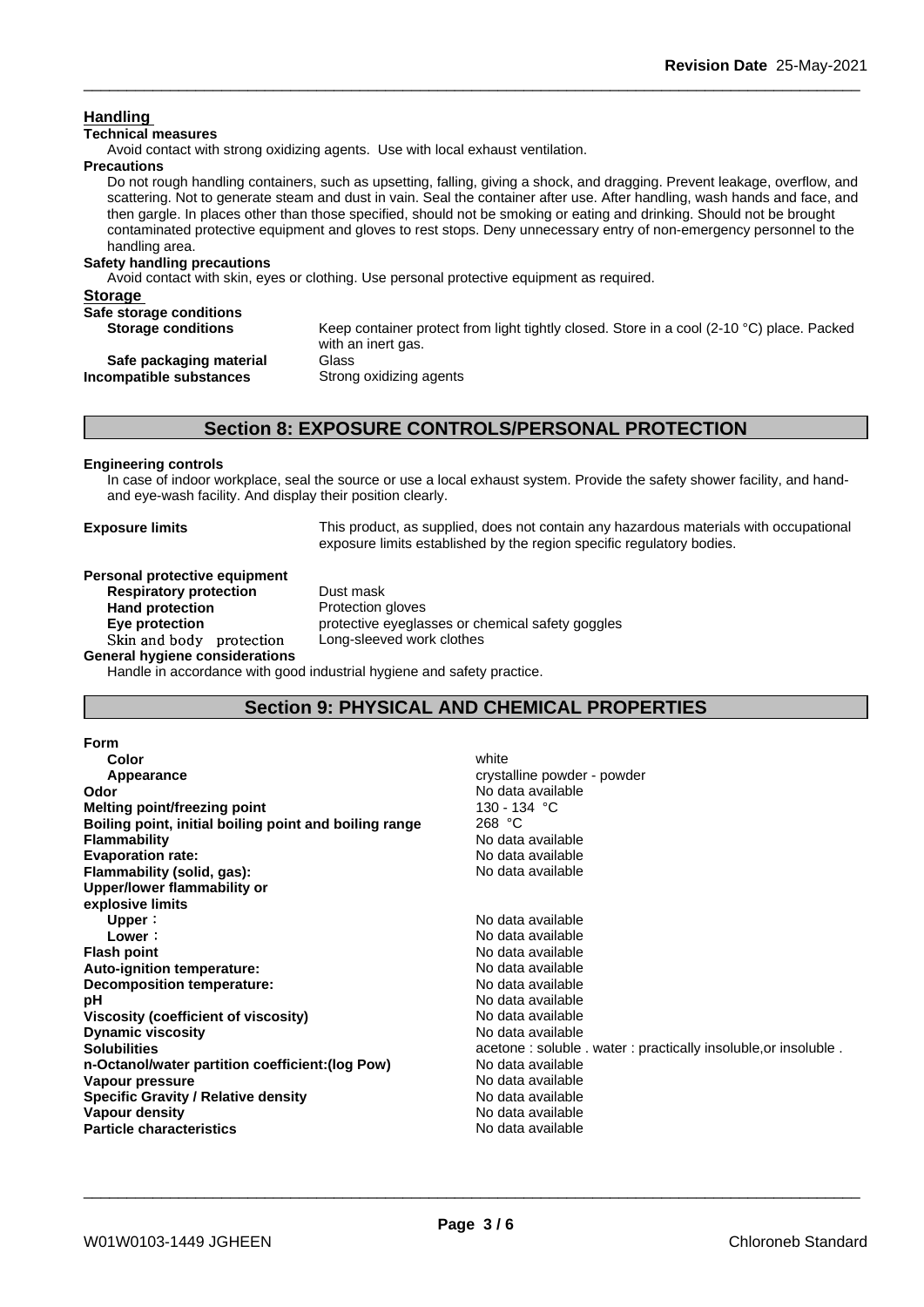## **Handling**

## **Technical measures**

Avoid contact with strong oxidizing agents. Use with local exhaust ventilation.

### **Precautions**

Do not rough handling containers, such as upsetting, falling, giving a shock, and dragging. Prevent leakage, overflow, and scattering. Not to generate steam and dust in vain. Seal the container after use. After handling, wash hands and face, and then gargle. In places other than those specified, should not be smoking or eating and drinking. Should not be brought contaminated protective equipment and gloves to rest stops. Deny unnecessary entry of non-emergency personnel to the handling area.

## **Safety handling precautions**

Avoid contact with skin, eyes or clothing. Use personal protective equipment as required.

| <b>Storage</b>            |                                                                                                                           |
|---------------------------|---------------------------------------------------------------------------------------------------------------------------|
| Safe storage conditions   |                                                                                                                           |
| <b>Storage conditions</b> | Keep container protect from light tightly closed. Store in a cool (2-10 $^{\circ}$ C) place. Packed<br>with an inert gas. |
| Safe packaging material   | Glass                                                                                                                     |
| Incompatible substances   | Strong oxidizing agents                                                                                                   |
|                           |                                                                                                                           |

## **Section 8: EXPOSURE CONTROLS/PERSONAL PROTECTION**

## **Engineering controls**

In case of indoor workplace, seal the source or use a local exhaust system. Provide the safety shower facility, and handand eye-wash facility. And display their position clearly.

**Exposure limits** This product, as supplied, does not contain any hazardous materials with occupational exposure limits established by the region specific regulatory bodies.

#### **Personal protective equipment Respiratory protection** Dust mask

**Hand protection** Protection gloves **Eye protection** protective eyeglasses or chemical safety goggles **Skinandbody protection** Long-sleeved work clothes

**General hygiene considerations**

Handle in accordance with good industrial hygiene and safety practice.

## **Section 9: PHYSICAL AND CHEMICAL PROPERTIES**

| Form                                                   |                                                                |
|--------------------------------------------------------|----------------------------------------------------------------|
| Color                                                  | white                                                          |
| Appearance                                             | crystalline powder - powder                                    |
| Odor                                                   | No data available                                              |
| Melting point/freezing point                           | 130 - 134  °C                                                  |
| Boiling point, initial boiling point and boiling range | 268 °C                                                         |
| <b>Flammability</b>                                    | No data available                                              |
| <b>Evaporation rate:</b>                               | No data available                                              |
| Flammability (solid, gas):                             | No data available                                              |
| Upper/lower flammability or                            |                                                                |
| explosive limits                                       |                                                                |
| Upper:                                                 | No data available                                              |
| Lower:                                                 | No data available                                              |
| <b>Flash point</b>                                     | No data available                                              |
| Auto-ignition temperature:                             | No data available                                              |
| Decomposition temperature:                             | No data available                                              |
| рH                                                     | No data available                                              |
| Viscosity (coefficient of viscosity)                   | No data available                                              |
| <b>Dynamic viscosity</b>                               | No data available                                              |
| <b>Solubilities</b>                                    | acetone: soluble . water: practically insoluble, or insoluble. |
| n-Octanol/water partition coefficient: (log Pow)       | No data available                                              |
| Vapour pressure                                        | No data available                                              |
| <b>Specific Gravity / Relative density</b>             | No data available                                              |
| Vapour density                                         | No data available                                              |
| <b>Particle characteristics</b>                        | No data available                                              |
|                                                        |                                                                |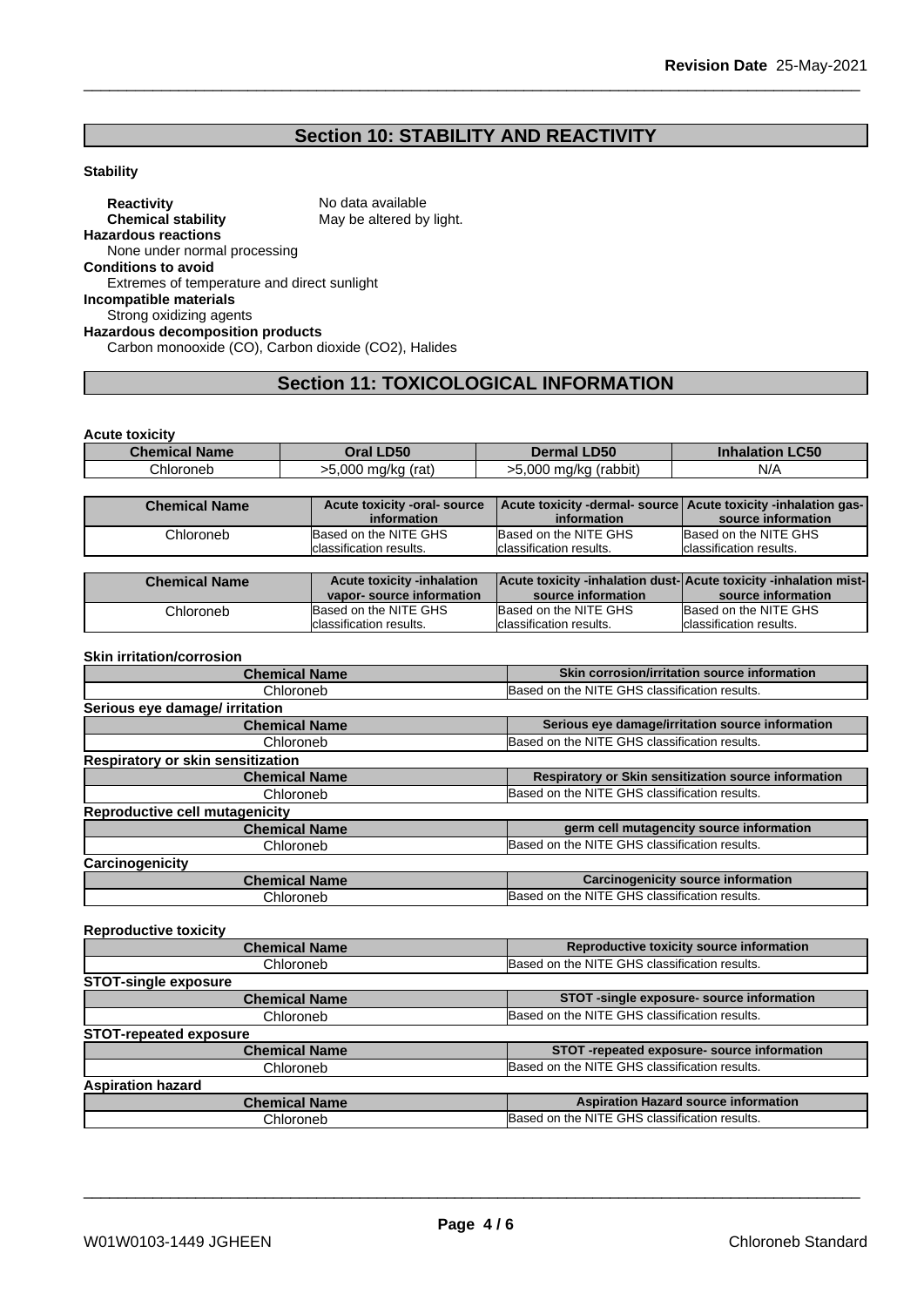## **Section 10: STABILITY AND REACTIVITY**

## **Stability**

**Reactivity** No data available<br> **Chemical stability** May be altered by May be altered by light. **Hazardous reactions** None under normal processing **Conditions to avoid** Extremes of temperature and direct sunlight **Incompatible materials** Strong oxidizing agents **Hazardous decomposition products** Carbon monooxide (CO), Carbon dioxide (CO2), Halides

## **Section 11: TOXICOLOGICAL INFORMATION**

**Acute toxicity**

| <b>Chemical Name</b> | Oral LD50             | <b>Dermal LD50</b>    | <b>Inhalation LC50</b> |
|----------------------|-----------------------|-----------------------|------------------------|
| Chloroneb            | >5.000 ma/ka<br>(rat) | >5.000 mg/kg (rabbit) | N/A                    |
|                      |                       |                       |                        |

| <b>Chemical Name</b> | Acute toxicity -oral- source |                          | Acute toxicity -dermal- source   Acute toxicity -inhalation gas- |
|----------------------|------------------------------|--------------------------|------------------------------------------------------------------|
|                      | information                  | information              | source information                                               |
| Chloroneb            | Based on the NITE GHS        | Based on the NITE GHS    | Based on the NITE GHS                                            |
|                      | classification results.      | Iclassification results. | Iclassification results.                                         |

| <b>Chemical Name</b> | <b>Acute toxicity -inhalation</b><br>vapor-source information | <b>Acute toxicity -inhalation dust-Acute toxicity -inhalation mist-</b><br>source information | source information       |
|----------------------|---------------------------------------------------------------|-----------------------------------------------------------------------------------------------|--------------------------|
|                      |                                                               |                                                                                               |                          |
| Chloroneb            | Based on the NITE GHS                                         | Based on the NITE GHS                                                                         | Based on the NITE GHS    |
|                      | Iclassification results.                                      | lclassification results.                                                                      | Iclassification results. |

#### **Skin irritation/corrosion**

| <b>Chemical Name</b>                  | Skin corrosion/irritation source information         |  |  |
|---------------------------------------|------------------------------------------------------|--|--|
| Chloroneb                             | Based on the NITE GHS classification results.        |  |  |
| Serious eye damage/ irritation        |                                                      |  |  |
| <b>Chemical Name</b>                  | Serious eye damage/irritation source information     |  |  |
| Chloroneb                             | Based on the NITE GHS classification results.        |  |  |
| Respiratory or skin sensitization     |                                                      |  |  |
| <b>Chemical Name</b>                  | Respiratory or Skin sensitization source information |  |  |
| Chloroneb                             | Based on the NITE GHS classification results.        |  |  |
| <b>Reproductive cell mutagenicity</b> |                                                      |  |  |
| <b>Chemical Name</b>                  | germ cell mutagencity source information             |  |  |
| Chloroneb                             | Based on the NITE GHS classification results.        |  |  |
| Carcinogenicity                       |                                                      |  |  |
| <b>Chemical Name</b>                  | <b>Carcinogenicity source information</b>            |  |  |
| Chloroneb                             | Based on the NITE GHS classification results.        |  |  |

## **Reproductive toxicity Chemical Name Reproductive toxicity source information** Chloroneb Based on the NITE GHS classification results **STOT-single exposure Chemical Name STOT** -single exposure- source information Chloroneb **Based on the NITE GHS classification results STOT-repeated exposure Chemical Name STOT -repeated exposure- source information** Chloroneb Based on the NITE GHS classification results **Aspiration hazard Chemical Name Aspiration Hazard source information** Chloroneb Based on the NITE GHS classification results.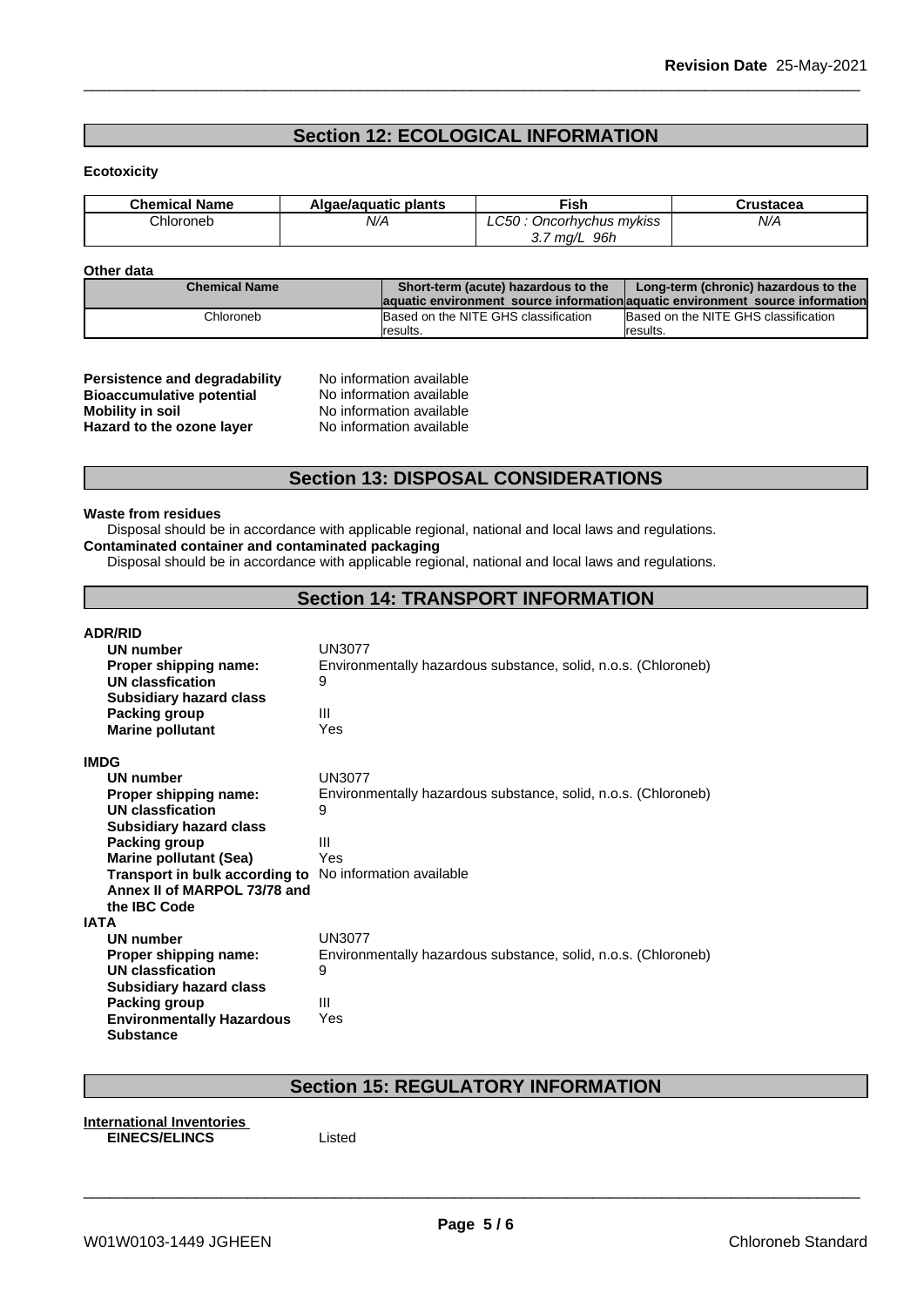## **Section 12: ECOLOGICAL INFORMATION**

## **Ecotoxicity**

| <b>Chemical Name</b> | Algae/aguatic plants | Fish                    | `ructacas<br>uslacea |
|----------------------|----------------------|-------------------------|----------------------|
| Chloroneb            | N/A                  | Oncorhychus mykiss      | N/A                  |
|                      |                      | 96h<br>⌒ ラ<br>ma/L<br>ູ |                      |

## **Other data**

| <b>Chemical Name</b> | Short-term (acute) hazardous to the  | Long-term (chronic) hazardous to the                                           |
|----------------------|--------------------------------------|--------------------------------------------------------------------------------|
|                      |                                      | laquatic environment source information aquatic environment source information |
| Chloroneb            | Based on the NITE GHS classification | Based on the NITE GHS classification                                           |
|                      | <i><b>Iresults.</b></i>              | results.                                                                       |

| <b>Persistence and degradability</b> |
|--------------------------------------|
| <b>Bioaccumulative potential</b>     |
| <b>Mobility in soil</b>              |
| Hazard to the ozone layer            |

**No information available No information available Mobility in soil** No information available **Hazard to the ozone layer** No information available

## **Section 13: DISPOSAL CONSIDERATIONS**

#### **Waste from residues**

Disposal should be in accordance with applicable regional, national and local laws and regulations. **Contaminated container and contaminated packaging**

Disposal should be in accordance with applicable regional, national and local laws and regulations.

## **Section 14: TRANSPORT INFORMATION**

| <b>ADR/RID</b>                                                 |                                                                |
|----------------------------------------------------------------|----------------------------------------------------------------|
| UN number                                                      | <b>UN3077</b>                                                  |
| Proper shipping name:                                          | Environmentally hazardous substance, solid, n.o.s. (Chloroneb) |
| UN classfication                                               | 9                                                              |
| <b>Subsidiary hazard class</b>                                 |                                                                |
| Packing group                                                  | Ш                                                              |
| <b>Marine pollutant</b>                                        | Yes                                                            |
| <b>IMDG</b>                                                    |                                                                |
| UN number                                                      | <b>UN3077</b>                                                  |
| Proper shipping name:                                          | Environmentally hazardous substance, solid, n.o.s. (Chloroneb) |
| UN classfication                                               | 9                                                              |
| <b>Subsidiary hazard class</b>                                 |                                                                |
| Packing group                                                  | Ш                                                              |
| <b>Marine pollutant (Sea)</b>                                  | Yes                                                            |
| <b>Transport in bulk according to</b> No information available |                                                                |
| Annex II of MARPOL 73/78 and                                   |                                                                |
| the <b>IBC</b> Code                                            |                                                                |
| IATA                                                           |                                                                |
| <b>UN number</b>                                               | <b>UN3077</b>                                                  |
| Proper shipping name:                                          | Environmentally hazardous substance, solid, n.o.s. (Chloroneb) |
| UN classfication                                               | 9                                                              |
| <b>Subsidiary hazard class</b>                                 |                                                                |
| Packing group                                                  | Ш                                                              |
| <b>Environmentally Hazardous</b>                               | Yes                                                            |
| <b>Substance</b>                                               |                                                                |

## **Section 15: REGULATORY INFORMATION**

**International Inventories EINECS/ELINCS**